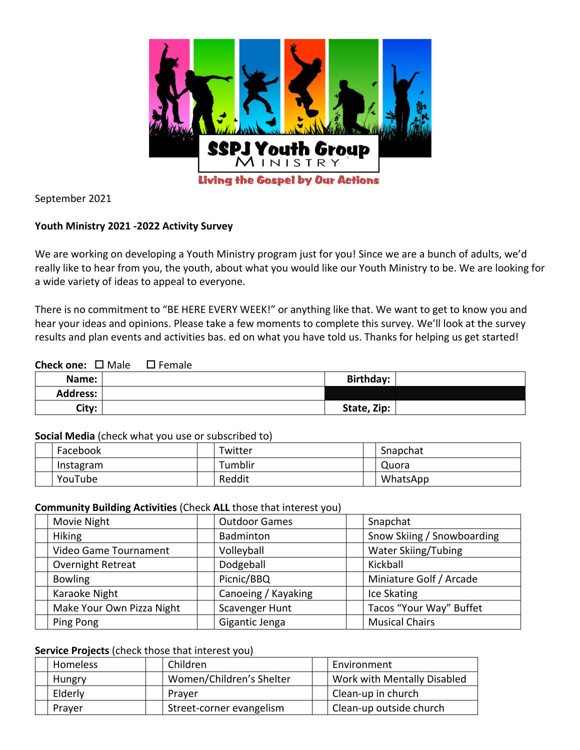

September 2021

## **Youth Ministry 2021 -2022 Activity Survey**

We are working on developing a Youth Ministry program just for you! Since we are a bunch of adults, we'd really like to hear from you, the youth, about what you would like our Youth Ministry to be. We are looking for a wide variety of ideas to appeal to everyone.

There is no commitment to "BE HERE EVERY WEEK!" or anything like that. We want to get to know you and hear your ideas and opinions. Please take a few moments to complete this survey. We'll look at the survey results and plan events and activities bas. ed on what you have told us. Thanks for helping us get started!

## **Check one:** □ Male □ Female

| Name:           | <b>Birthday:</b> |  |
|-----------------|------------------|--|
| <b>Address:</b> |                  |  |
| City:           | State, Zip:      |  |

#### **Social Media** (check what you use or subscribed to)

| Facebook  | Twitter        | Snapchat |
|-----------|----------------|----------|
| Instagram | <b>Tumblir</b> | Quora    |
| YouTube   | Reddit         | WhatsApp |

## **Community Building Activities** (Check **ALL** those that interest you)

| Movie Night               | <b>Outdoor Games</b> | Snapchat                   |
|---------------------------|----------------------|----------------------------|
| <b>Hiking</b>             | Badminton            | Snow Skiing / Snowboarding |
| Video Game Tournament     | Volleyball           | <b>Water Skiing/Tubing</b> |
| Overnight Retreat         | Dodgeball            | Kickball                   |
| <b>Bowling</b>            | Picnic/BBQ           | Miniature Golf / Arcade    |
| Karaoke Night             | Canoeing / Kayaking  | Ice Skating                |
| Make Your Own Pizza Night | Scavenger Hunt       | Tacos "Your Way" Buffet    |
| Ping Pong                 | Gigantic Jenga       | <b>Musical Chairs</b>      |

## **Service Projects** (check those that interest you)

| Homeless      | Children                 | Environment                 |
|---------------|--------------------------|-----------------------------|
| <b>Hungry</b> | Women/Children's Shelter | Work with Mentally Disabled |
| Elderly       | Praver                   | Clean-up in church          |
| Prayer        | Street-corner evangelism | Clean-up outside church     |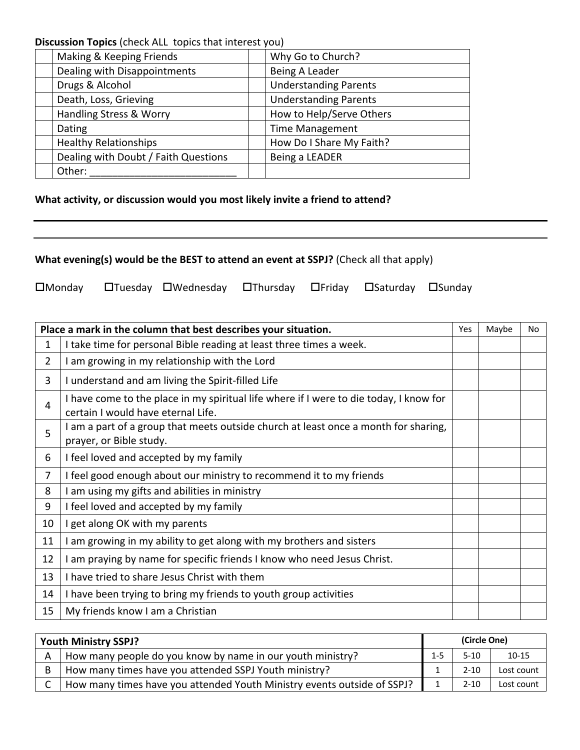**Discussion Topics** (check ALL topics that interest you)

| Making & Keeping Friends             | Why Go to Church?            |
|--------------------------------------|------------------------------|
| Dealing with Disappointments         | Being A Leader               |
| Drugs & Alcohol                      | <b>Understanding Parents</b> |
| Death, Loss, Grieving                | <b>Understanding Parents</b> |
| Handling Stress & Worry              | How to Help/Serve Others     |
| Dating                               | <b>Time Management</b>       |
| <b>Healthy Relationships</b>         | How Do I Share My Faith?     |
| Dealing with Doubt / Faith Questions | Being a LEADER               |
| Other:                               |                              |
|                                      |                              |

# **What activity, or discussion would you most likely invite a friend to attend?**

|  |  | What evening(s) would be the BEST to attend an event at SSPJ? (Check all that apply) |  |  |  |
|--|--|--------------------------------------------------------------------------------------|--|--|--|
|--|--|--------------------------------------------------------------------------------------|--|--|--|

OMonday OTuesday OWednesday OThursday OFriday OSaturday OSunday

|                | Place a mark in the column that best describes your situation.                                                               | Yes | Maybe | No |
|----------------|------------------------------------------------------------------------------------------------------------------------------|-----|-------|----|
| $\mathbf{1}$   | I take time for personal Bible reading at least three times a week.                                                          |     |       |    |
| $\overline{2}$ | I am growing in my relationship with the Lord                                                                                |     |       |    |
| 3              | I understand and am living the Spirit-filled Life                                                                            |     |       |    |
| 4              | I have come to the place in my spiritual life where if I were to die today, I know for<br>certain I would have eternal Life. |     |       |    |
| 5              | I am a part of a group that meets outside church at least once a month for sharing,<br>prayer, or Bible study.               |     |       |    |
| 6              | I feel loved and accepted by my family                                                                                       |     |       |    |
| 7              | I feel good enough about our ministry to recommend it to my friends                                                          |     |       |    |
| 8              | I am using my gifts and abilities in ministry                                                                                |     |       |    |
| 9              | I feel loved and accepted by my family                                                                                       |     |       |    |
| 10             | I get along OK with my parents                                                                                               |     |       |    |
| 11             | am growing in my ability to get along with my brothers and sisters                                                           |     |       |    |
| 12             | I am praying by name for specific friends I know who need Jesus Christ.                                                      |     |       |    |
| 13             | I have tried to share Jesus Christ with them                                                                                 |     |       |    |
| 14             | I have been trying to bring my friends to youth group activities                                                             |     |       |    |
| 15             | My friends know I am a Christian                                                                                             |     |       |    |

|   | <b>Youth Ministry SSPJ?</b>                                             |         |          | (Circle One) |  |  |
|---|-------------------------------------------------------------------------|---------|----------|--------------|--|--|
|   | How many people do you know by name in our youth ministry?              | $1 - 5$ | $5-10$   | $10 - 15$    |  |  |
| B | How many times have you attended SSPJ Youth ministry?                   |         | $2 - 10$ | Lost count   |  |  |
|   | How many times have you attended Youth Ministry events outside of SSPJ? |         | $2 - 10$ | Lost count   |  |  |